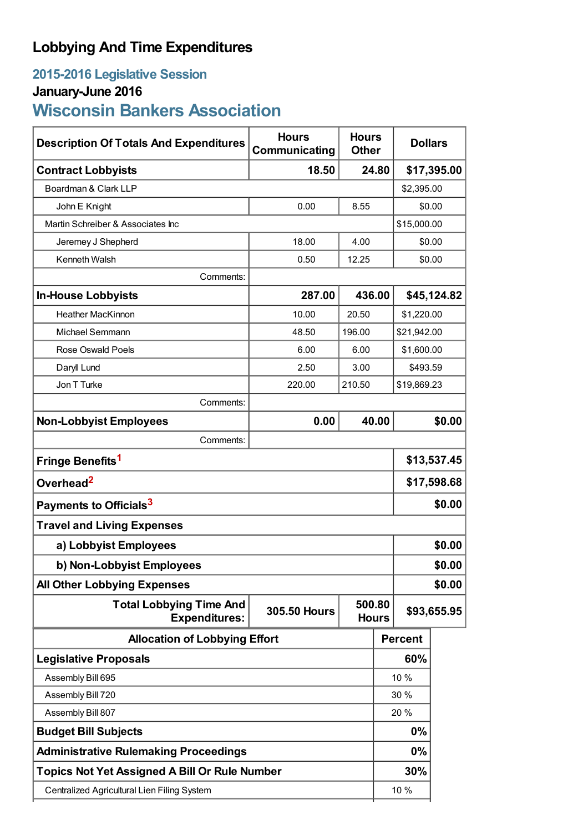# **Lobbying And Time Expenditures**

## **2015-2016 Legislative Session**

# **January-June 2016**

# **Wisconsin Bankers Association**

| <b>Description Of Totals And Expenditures</b>          | <b>Hours</b><br>Communicating | <b>Hours</b><br><b>Other</b> | <b>Dollars</b> |                |        |  |
|--------------------------------------------------------|-------------------------------|------------------------------|----------------|----------------|--------|--|
| <b>Contract Lobbyists</b>                              | 18.50                         | 24.80                        |                | \$17,395.00    |        |  |
| Boardman & Clark LLP                                   |                               |                              |                | \$2,395.00     |        |  |
| John E Knight                                          | 0.00                          | 8.55                         |                | \$0.00         |        |  |
| Martin Schreiber & Associates Inc                      |                               |                              | \$15,000.00    |                |        |  |
| Jeremey J Shepherd                                     | 18.00                         | 4.00                         | \$0.00         |                |        |  |
| Kenneth Walsh                                          | 0.50                          | 12.25                        |                | \$0.00         |        |  |
| Comments:                                              |                               |                              |                |                |        |  |
| <b>In-House Lobbyists</b>                              | 287.00                        | 436.00                       |                | \$45,124.82    |        |  |
| <b>Heather MacKinnon</b>                               | 10.00                         | 20.50                        |                | \$1,220.00     |        |  |
| <b>Michael Semmann</b>                                 | 48.50                         | 196.00                       |                | \$21,942.00    |        |  |
| <b>Rose Oswald Poels</b>                               | 6.00                          | 6.00                         |                | \$1,600.00     |        |  |
| Daryll Lund                                            | 2.50                          | 3.00                         |                | \$493.59       |        |  |
| Jon T Turke                                            | 220.00                        | 210.50                       |                | \$19,869.23    |        |  |
| Comments:                                              |                               |                              |                |                |        |  |
| <b>Non-Lobbyist Employees</b>                          | 0.00                          |                              | 40.00          |                | \$0.00 |  |
| Comments:                                              |                               |                              |                |                |        |  |
| Fringe Benefits <sup>1</sup>                           |                               |                              |                | \$13,537.45    |        |  |
| Overhead <sup>2</sup>                                  |                               |                              |                | \$17,598.68    |        |  |
| Payments to Officials <sup>3</sup>                     |                               |                              |                | \$0.00         |        |  |
| <b>Travel and Living Expenses</b>                      |                               |                              |                |                |        |  |
| a) Lobbyist Employees                                  |                               |                              |                | \$0.00         |        |  |
| b) Non-Lobbyist Employees                              |                               |                              |                | \$0.00         |        |  |
| <b>All Other Lobbying Expenses</b>                     |                               |                              |                |                | \$0.00 |  |
| <b>Total Lobbying Time And</b><br><b>Expenditures:</b> | <b>305.50 Hours</b>           | 500.80<br><b>Hours</b>       |                | \$93,655.95    |        |  |
| <b>Allocation of Lobbying Effort</b>                   |                               |                              |                | <b>Percent</b> |        |  |
| <b>Legislative Proposals</b>                           |                               |                              |                | 60%            |        |  |
| Assembly Bill 695                                      |                               |                              |                | 10 %           |        |  |
| Assembly Bill 720                                      |                               |                              |                | 30 %           |        |  |
| Assembly Bill 807                                      |                               |                              |                | 20%            |        |  |
| <b>Budget Bill Subjects</b>                            |                               |                              |                | 0%             |        |  |
| <b>Administrative Rulemaking Proceedings</b>           |                               |                              |                | 0%             |        |  |
| <b>Topics Not Yet Assigned A Bill Or Rule Number</b>   |                               |                              |                | 30%            |        |  |
| Centralized Agricultural Lien Filing System            |                               |                              |                | 10 %           |        |  |